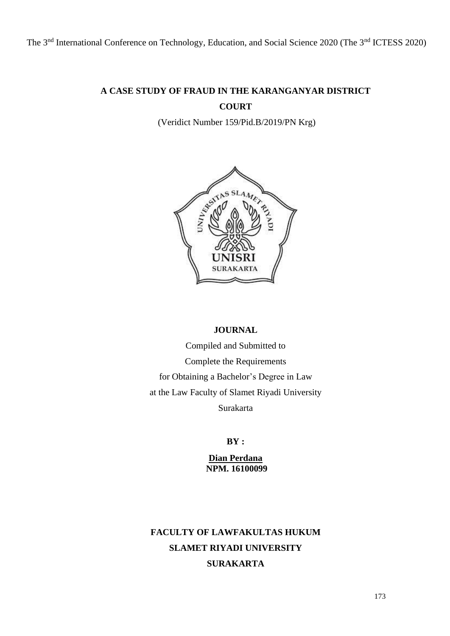The 3<sup>nd</sup> International Conference on Technology, Education, and Social Science 2020 (The 3<sup>nd</sup> ICTESS 2020)

# **A CASE STUDY OF FRAUD IN THE KARANGANYAR DISTRICT COURT**

(Veridict Number 159/Pid.B/2019/PN Krg)



## **JOURNAL**

Compiled and Submitted to Complete the Requirements for Obtaining a Bachelor's Degree in Law at the Law Faculty of Slamet Riyadi University Surakarta

**BY :**

**Dian Perdana NPM. 16100099**

# **FACULTY OF LAWFAKULTAS HUKUM SLAMET RIYADI UNIVERSITY SURAKARTA**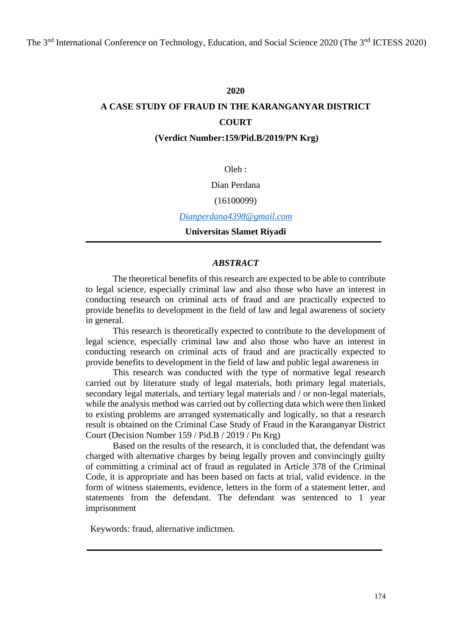## **2020**

# **A CASE STUDY OF FRAUD IN THE KARANGANYAR DISTRICT COURT**

**(Verdict Number:159/Pid.B/2019/PN Krg)**

Oleh :

Dian Perdana

### (16100099)

*[Dianperdana4398@gmail.com](mailto:Dianperdana4398@gmail.com)*

**Universitas Slamet Riyadi**

### *ABSTRACT*

The theoretical benefits of this research are expected to be able to contribute to legal science, especially criminal law and also those who have an interest in conducting research on criminal acts of fraud and are practically expected to provide benefits to development in the field of law and legal awareness of society in general.

This research is theoretically expected to contribute to the development of legal science, especially criminal law and also those who have an interest in conducting research on criminal acts of fraud and are practically expected to provide benefits to development in the field of law and public legal awareness in

This research was conducted with the type of normative legal research carried out by literature study of legal materials, both primary legal materials, secondary legal materials, and tertiary legal materials and / or non-legal materials, while the analysis method was carried out by collecting data which were then linked to existing problems are arranged systematically and logically, so that a research result is obtained on the Criminal Case Study of Fraud in the Karanganyar District Court (Decision Number 159 / Pid.B / 2019 / Pn Krg)

Based on the results of the research, it is concluded that, the defendant was charged with alternative charges by being legally proven and convincingly guilty of committing a criminal act of fraud as regulated in Article 378 of the Criminal Code, it is appropriate and has been based on facts at trial, valid evidence. in the form of witness statements, evidence, letters in the form of a statement letter, and statements from the defendant. The defendant was sentenced to 1 year imprisonment

Keywords: fraud, alternative indictmen.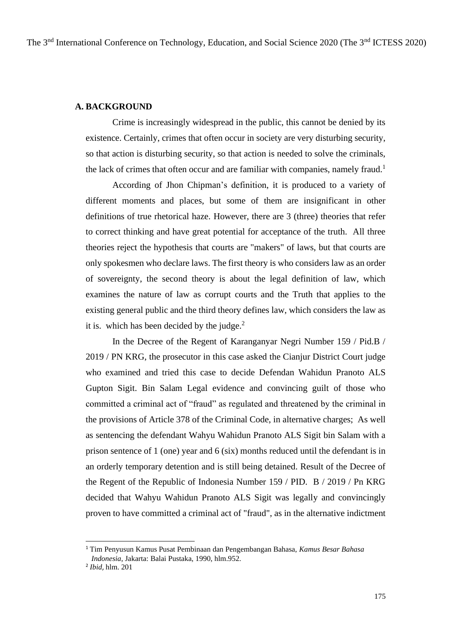## **A. BACKGROUND**

Crime is increasingly widespread in the public, this cannot be denied by its existence. Certainly, crimes that often occur in society are very disturbing security, so that action is disturbing security, so that action is needed to solve the criminals, the lack of crimes that often occur and are familiar with companies, namely fraud.<sup>1</sup>

According of Jhon Chipman's definition, it is produced to a variety of different moments and places, but some of them are insignificant in other definitions of true rhetorical haze. However, there are 3 (three) theories that refer to correct thinking and have great potential for acceptance of the truth. All three theories reject the hypothesis that courts are "makers" of laws, but that courts are only spokesmen who declare laws. The first theory is who considers law as an order of sovereignty, the second theory is about the legal definition of law, which examines the nature of law as corrupt courts and the Truth that applies to the existing general public and the third theory defines law, which considers the law as it is. which has been decided by the judge. $<sup>2</sup>$ </sup>

In the Decree of the Regent of Karanganyar Negri Number 159 / Pid.B / 2019 / PN KRG, the prosecutor in this case asked the Cianjur District Court judge who examined and tried this case to decide Defendan Wahidun Pranoto ALS Gupton Sigit. Bin Salam Legal evidence and convincing guilt of those who committed a criminal act of "fraud" as regulated and threatened by the criminal in the provisions of Article 378 of the Criminal Code, in alternative charges; As well as sentencing the defendant Wahyu Wahidun Pranoto ALS Sigit bin Salam with a prison sentence of 1 (one) year and 6 (six) months reduced until the defendant is in an orderly temporary detention and is still being detained. Result of the Decree of the Regent of the Republic of Indonesia Number 159 / PID. B / 2019 / Pn KRG decided that Wahyu Wahidun Pranoto ALS Sigit was legally and convincingly proven to have committed a criminal act of "fraud", as in the alternative indictment

<sup>1</sup> Tim Penyusun Kamus Pusat Pembinaan dan Pengembangan Bahasa, *Kamus Besar Bahasa Indonesia*, Jakarta: Balai Pustaka, 1990, hlm.952.

<sup>2</sup> *Ibid*, hlm. 201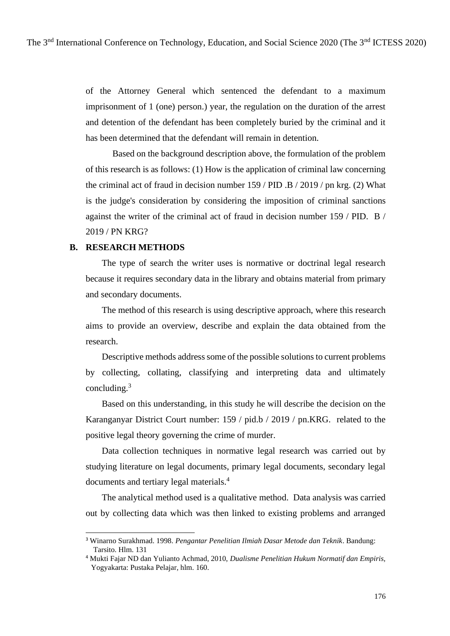of the Attorney General which sentenced the defendant to a maximum imprisonment of 1 (one) person.) year, the regulation on the duration of the arrest and detention of the defendant has been completely buried by the criminal and it has been determined that the defendant will remain in detention.

Based on the background description above, the formulation of the problem of this research is as follows: (1) How is the application of criminal law concerning the criminal act of fraud in decision number 159 / PID .B / 2019 / pn krg. (2) What is the judge's consideration by considering the imposition of criminal sanctions against the writer of the criminal act of fraud in decision number 159 / PID. B / 2019 / PN KRG?

#### **B. RESEARCH METHODS**

The type of search the writer uses is normative or doctrinal legal research because it requires secondary data in the library and obtains material from primary and secondary documents.

The method of this research is using descriptive approach, where this research aims to provide an overview, describe and explain the data obtained from the research.

Descriptive methods address some of the possible solutions to current problems by collecting, collating, classifying and interpreting data and ultimately concluding. $3$ 

Based on this understanding, in this study he will describe the decision on the Karanganyar District Court number: 159 / pid.b / 2019 / pn.KRG. related to the positive legal theory governing the crime of murder.

Data collection techniques in normative legal research was carried out by studying literature on legal documents, primary legal documents, secondary legal documents and tertiary legal materials.<sup>4</sup>

The analytical method used is a qualitative method. Data analysis was carried out by collecting data which was then linked to existing problems and arranged

<sup>3</sup> Winarno Surakhmad. 1998. *Pengantar Penelitian Ilmiah Dasar Metode dan Teknik*. Bandung: Tarsito. Hlm. 131

<sup>4</sup> Mukti Fajar ND dan Yulianto Achmad, 2010, *Dualisme Penelitian Hukum Normatif dan Empiris,* Yogyakarta: Pustaka Pelajar, hlm. 160.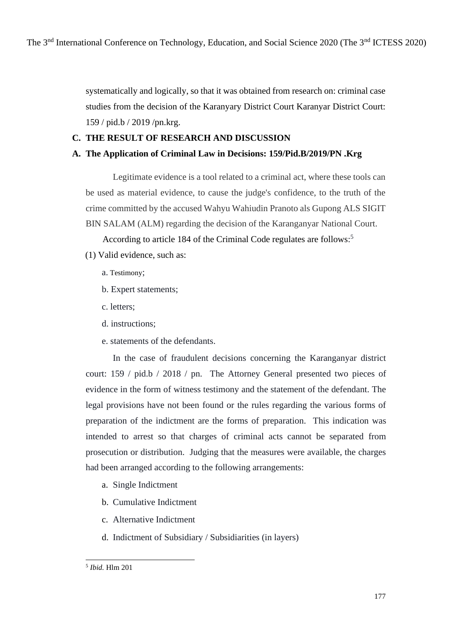systematically and logically, so that it was obtained from research on: criminal case studies from the decision of the Karanyary District Court Karanyar District Court: 159 / pid.b / 2019 /pn.krg.

# **C. THE RESULT OF RESEARCH AND DISCUSSION**

# **A. The Application of Criminal Law in Decisions: 159/Pid.B/2019/PN .Krg**

Legitimate evidence is a tool related to a criminal act, where these tools can be used as material evidence, to cause the judge's confidence, to the truth of the crime committed by the accused Wahyu Wahiudin Pranoto als Gupong ALS SIGIT BIN SALAM (ALM) regarding the decision of the Karanganyar National Court.

According to article 184 of the Criminal Code regulates are follows: 5

- (1) Valid evidence, such as:
	- a. Testimony;
	- b. Expert statements;
	- c. letters;
	- d. instructions;
	- e. statements of the defendants.

In the case of fraudulent decisions concerning the Karanganyar district court: 159 / pid.b / 2018 / pn. The Attorney General presented two pieces of evidence in the form of witness testimony and the statement of the defendant. The legal provisions have not been found or the rules regarding the various forms of preparation of the indictment are the forms of preparation. This indication was intended to arrest so that charges of criminal acts cannot be separated from prosecution or distribution. Judging that the measures were available, the charges had been arranged according to the following arrangements:

- a. Single Indictment
- b. Cumulative Indictment
- c. Alternative Indictment
- d. Indictment of Subsidiary / Subsidiarities (in layers)

<sup>5</sup> *Ibid.* Hlm 201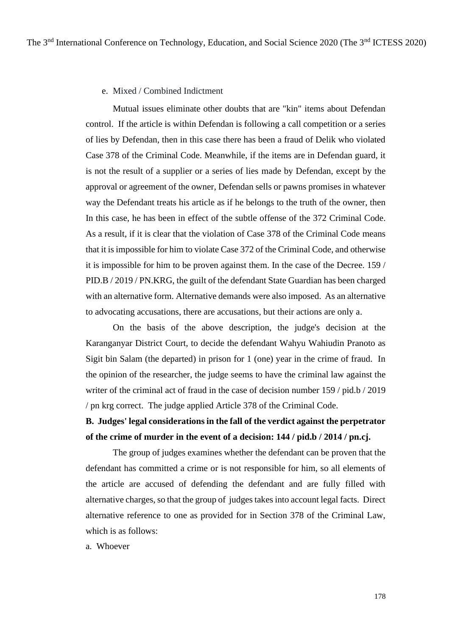#### e. Mixed / Combined Indictment

Mutual issues eliminate other doubts that are "kin" items about Defendan control. If the article is within Defendan is following a call competition or a series of lies by Defendan, then in this case there has been a fraud of Delik who violated Case 378 of the Criminal Code. Meanwhile, if the items are in Defendan guard, it is not the result of a supplier or a series of lies made by Defendan, except by the approval or agreement of the owner, Defendan sells or pawns promises in whatever way the Defendant treats his article as if he belongs to the truth of the owner, then In this case, he has been in effect of the subtle offense of the 372 Criminal Code. As a result, if it is clear that the violation of Case 378 of the Criminal Code means that it is impossible for him to violate Case 372 of the Criminal Code, and otherwise it is impossible for him to be proven against them. In the case of the Decree. 159 / PID.B / 2019 / PN.KRG, the guilt of the defendant State Guardian has been charged with an alternative form. Alternative demands were also imposed. As an alternative to advocating accusations, there are accusations, but their actions are only a.

On the basis of the above description, the judge's decision at the Karanganyar District Court, to decide the defendant Wahyu Wahiudin Pranoto as Sigit bin Salam (the departed) in prison for 1 (one) year in the crime of fraud. In the opinion of the researcher, the judge seems to have the criminal law against the writer of the criminal act of fraud in the case of decision number 159 / pid.b / 2019 / pn krg correct. The judge applied Article 378 of the Criminal Code.

# **B. Judges' legal considerations in the fall of the verdict against the perpetrator of the crime of murder in the event of a decision: 144 / pid.b / 2014 / pn.cj.**

The group of judges examines whether the defendant can be proven that the defendant has committed a crime or is not responsible for him, so all elements of the article are accused of defending the defendant and are fully filled with alternative charges, so that the group of judges takes into account legal facts. Direct alternative reference to one as provided for in Section 378 of the Criminal Law, which is as follows:

a. Whoever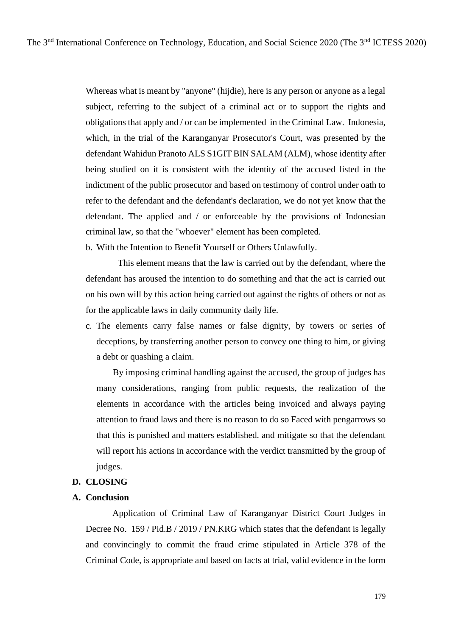Whereas what is meant by "anyone" (hijdie), here is any person or anyone as a legal subject, referring to the subject of a criminal act or to support the rights and obligations that apply and / or can be implemented in the Criminal Law. Indonesia, which, in the trial of the Karanganyar Prosecutor's Court, was presented by the defendant Wahidun Pranoto ALS S1GIT BIN SALAM (ALM), whose identity after being studied on it is consistent with the identity of the accused listed in the indictment of the public prosecutor and based on testimony of control under oath to refer to the defendant and the defendant's declaration, we do not yet know that the defendant. The applied and / or enforceable by the provisions of Indonesian criminal law, so that the "whoever" element has been completed.

b. With the Intention to Benefit Yourself or Others Unlawfully.

This element means that the law is carried out by the defendant, where the defendant has aroused the intention to do something and that the act is carried out on his own will by this action being carried out against the rights of others or not as for the applicable laws in daily community daily life.

c. The elements carry false names or false dignity, by towers or series of deceptions, by transferring another person to convey one thing to him, or giving a debt or quashing a claim.

By imposing criminal handling against the accused, the group of judges has many considerations, ranging from public requests, the realization of the elements in accordance with the articles being invoiced and always paying attention to fraud laws and there is no reason to do so Faced with pengarrows so that this is punished and matters established. and mitigate so that the defendant will report his actions in accordance with the verdict transmitted by the group of judges.

#### **D. CLOSING**

#### **A. Conclusion**

Application of Criminal Law of Karanganyar District Court Judges in Decree No. 159 / Pid.B / 2019 / PN.KRG which states that the defendant is legally and convincingly to commit the fraud crime stipulated in Article 378 of the Criminal Code, is appropriate and based on facts at trial, valid evidence in the form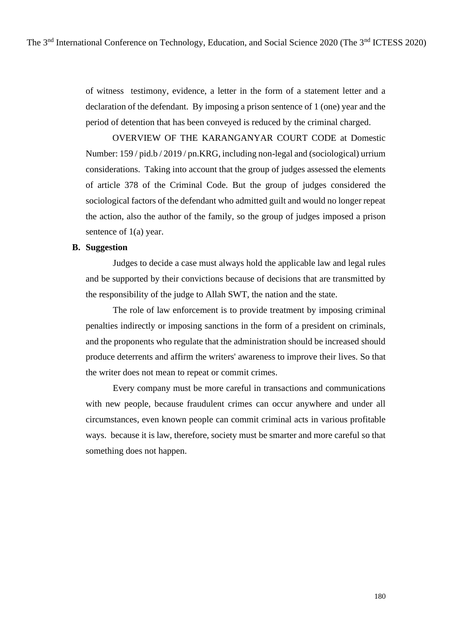of witness testimony, evidence, a letter in the form of a statement letter and a declaration of the defendant. By imposing a prison sentence of 1 (one) year and the period of detention that has been conveyed is reduced by the criminal charged.

OVERVIEW OF THE KARANGANYAR COURT CODE at Domestic Number: 159 / pid.b / 2019 / pn.KRG, including non-legal and (sociological) urrium considerations. Taking into account that the group of judges assessed the elements of article 378 of the Criminal Code. But the group of judges considered the sociological factors of the defendant who admitted guilt and would no longer repeat the action, also the author of the family, so the group of judges imposed a prison sentence of 1(a) year.

### **B. Suggestion**

Judges to decide a case must always hold the applicable law and legal rules and be supported by their convictions because of decisions that are transmitted by the responsibility of the judge to Allah SWT, the nation and the state.

The role of law enforcement is to provide treatment by imposing criminal penalties indirectly or imposing sanctions in the form of a president on criminals, and the proponents who regulate that the administration should be increased should produce deterrents and affirm the writers' awareness to improve their lives. So that the writer does not mean to repeat or commit crimes.

Every company must be more careful in transactions and communications with new people, because fraudulent crimes can occur anywhere and under all circumstances, even known people can commit criminal acts in various profitable ways. because it is law, therefore, society must be smarter and more careful so that something does not happen.